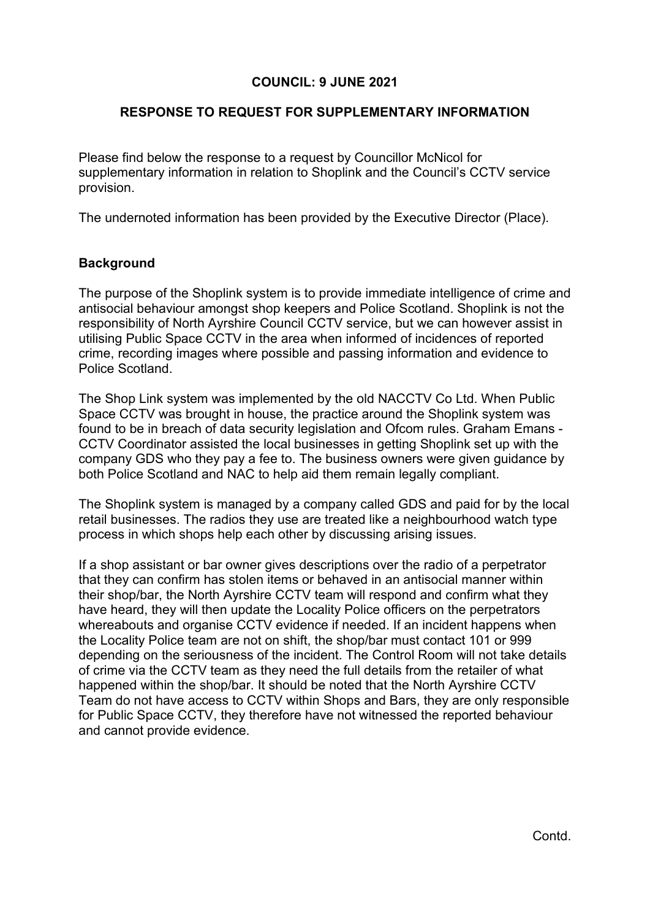## **COUNCIL: 9 JUNE 2021**

## **RESPONSE TO REQUEST FOR SUPPLEMENTARY INFORMATION**

Please find below the response to a request by Councillor McNicol for supplementary information in relation to Shoplink and the Council's CCTV service provision.

The undernoted information has been provided by the Executive Director (Place).

## **Background**

The purpose of the Shoplink system is to provide immediate intelligence of crime and antisocial behaviour amongst shop keepers and Police Scotland. Shoplink is not the responsibility of North Ayrshire Council CCTV service, but we can however assist in utilising Public Space CCTV in the area when informed of incidences of reported crime, recording images where possible and passing information and evidence to Police Scotland.

The Shop Link system was implemented by the old NACCTV Co Ltd. When Public Space CCTV was brought in house, the practice around the Shoplink system was found to be in breach of data security legislation and Ofcom rules. Graham Emans - CCTV Coordinator assisted the local businesses in getting Shoplink set up with the company GDS who they pay a fee to. The business owners were given guidance by both Police Scotland and NAC to help aid them remain legally compliant.

The Shoplink system is managed by a company called GDS and paid for by the local retail businesses. The radios they use are treated like a neighbourhood watch type process in which shops help each other by discussing arising issues.

If a shop assistant or bar owner gives descriptions over the radio of a perpetrator that they can confirm has stolen items or behaved in an antisocial manner within their shop/bar, the North Ayrshire CCTV team will respond and confirm what they have heard, they will then update the Locality Police officers on the perpetrators whereabouts and organise CCTV evidence if needed. If an incident happens when the Locality Police team are not on shift, the shop/bar must contact 101 or 999 depending on the seriousness of the incident. The Control Room will not take details of crime via the CCTV team as they need the full details from the retailer of what happened within the shop/bar. It should be noted that the North Ayrshire CCTV Team do not have access to CCTV within Shops and Bars, they are only responsible for Public Space CCTV, they therefore have not witnessed the reported behaviour and cannot provide evidence.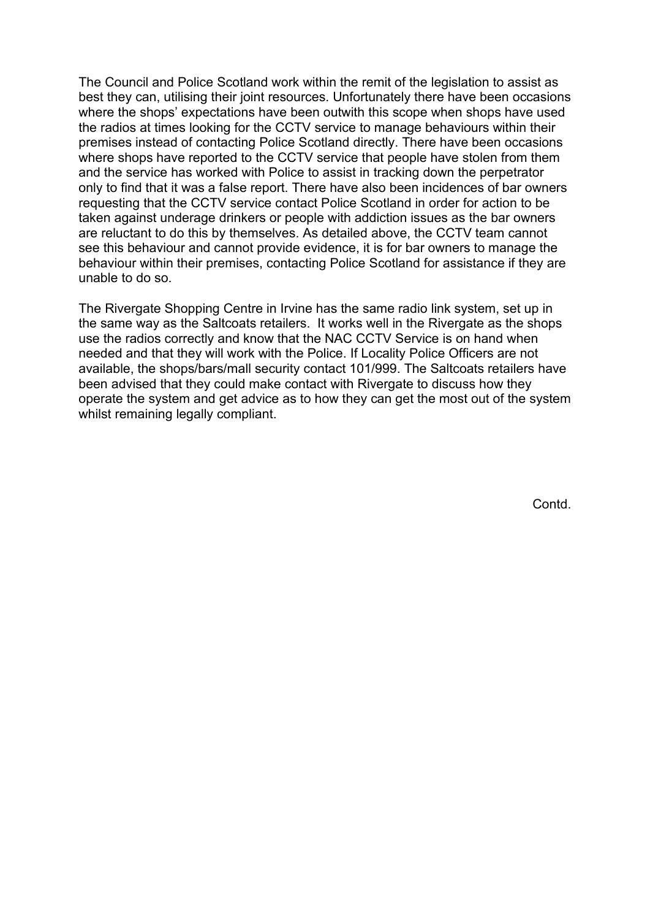The Council and Police Scotland work within the remit of the legislation to assist as best they can, utilising their joint resources. Unfortunately there have been occasions where the shops' expectations have been outwith this scope when shops have used the radios at times looking for the CCTV service to manage behaviours within their premises instead of contacting Police Scotland directly. There have been occasions where shops have reported to the CCTV service that people have stolen from them and the service has worked with Police to assist in tracking down the perpetrator only to find that it was a false report. There have also been incidences of bar owners requesting that the CCTV service contact Police Scotland in order for action to be taken against underage drinkers or people with addiction issues as the bar owners are reluctant to do this by themselves. As detailed above, the CCTV team cannot see this behaviour and cannot provide evidence, it is for bar owners to manage the behaviour within their premises, contacting Police Scotland for assistance if they are unable to do so.

The Rivergate Shopping Centre in Irvine has the same radio link system, set up in the same way as the Saltcoats retailers. It works well in the Rivergate as the shops use the radios correctly and know that the NAC CCTV Service is on hand when needed and that they will work with the Police. If Locality Police Officers are not available, the shops/bars/mall security contact 101/999. The Saltcoats retailers have been advised that they could make contact with Rivergate to discuss how they operate the system and get advice as to how they can get the most out of the system whilst remaining legally compliant.

Contd.